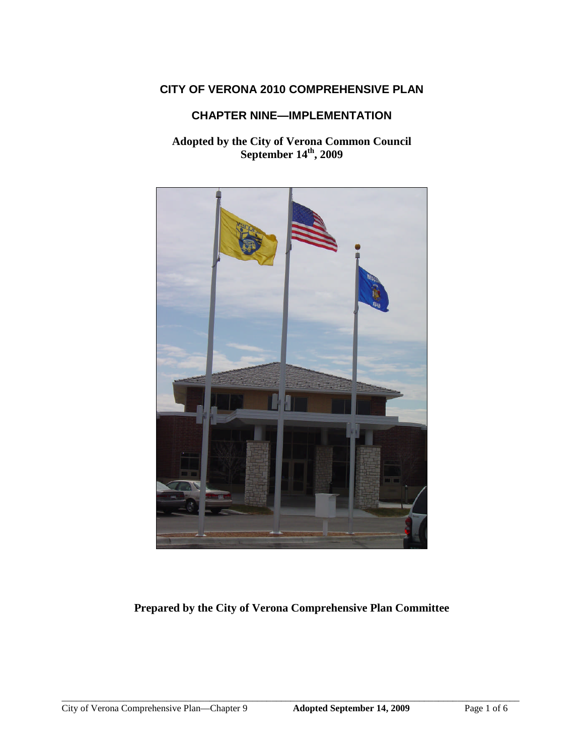# **CITY OF VERONA 2010 COMPREHENSIVE PLAN**

## **CHAPTER NINE—IMPLEMENTATION**

## **Adopted by the City of Verona Common Council September 14th , 2009**



# **Prepared by the City of Verona Comprehensive Plan Committee**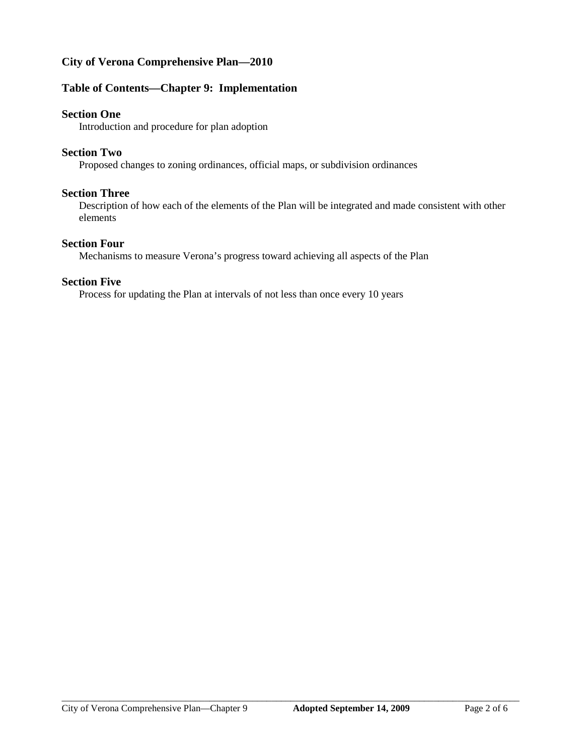# **City of Verona Comprehensive Plan—2010**

### **Table of Contents—Chapter 9: Implementation**

### **Section One**

Introduction and procedure for plan adoption

### **Section Two**

Proposed changes to zoning ordinances, official maps, or subdivision ordinances

### **Section Three**

Description of how each of the elements of the Plan will be integrated and made consistent with other elements

### **Section Four**

Mechanisms to measure Verona's progress toward achieving all aspects of the Plan

#### **Section Five**

Process for updating the Plan at intervals of not less than once every 10 years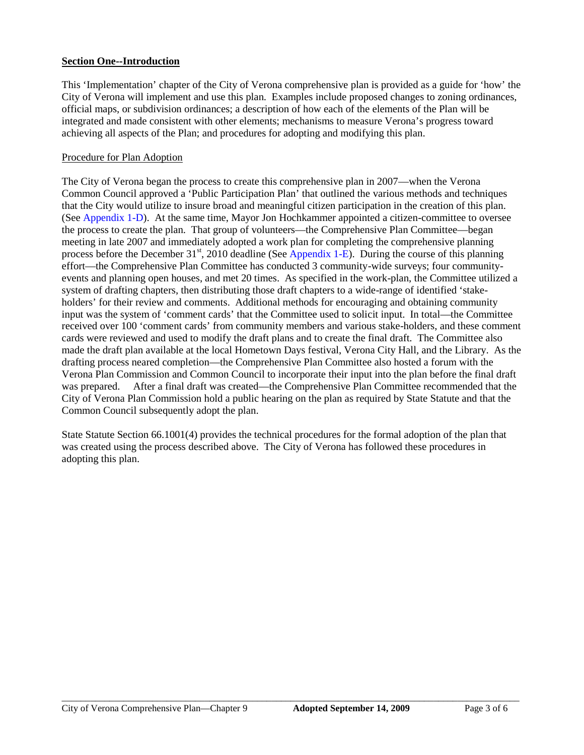### **Section One--Introduction**

This 'Implementation' chapter of the City of Verona comprehensive plan is provided as a guide for 'how' the City of Verona will implement and use this plan. Examples include proposed changes to zoning ordinances, official maps, or subdivision ordinances; a description of how each of the elements of the Plan will be integrated and made consistent with other elements; mechanisms to measure Verona's progress toward achieving all aspects of the Plan; and procedures for adopting and modifying this plan.

### Procedure for Plan Adoption

The City of Verona began the process to create this comprehensive plan in 2007—when the Verona Common Council approved a 'Public Participation Plan' that outlined the various methods and techniques that the City would utilize to insure broad and meaningful citizen participation in the creation of this plan. (See Appendix 1-D). At the same time, Mayor Jon Hochkammer appointed a citizen-committee to oversee the process to create the plan. That group of volunteers—the Comprehensive Plan Committee—began meeting in late 2007 and immediately adopted a work plan for completing the comprehensive planning process before the December 31<sup>st</sup>, 2010 deadline (See Appendix 1-E). During the course of this planning effort—the Comprehensive Plan Committee has conducted 3 community-wide surveys; four communityevents and planning open houses, and met 20 times. As specified in the work-plan, the Committee utilized a system of drafting chapters, then distributing those draft chapters to a wide-range of identified 'stakeholders' for their review and comments. Additional methods for encouraging and obtaining community input was the system of 'comment cards' that the Committee used to solicit input. In total—the Committee received over 100 'comment cards' from community members and various stake-holders, and these comment cards were reviewed and used to modify the draft plans and to create the final draft. The Committee also made the draft plan available at the local Hometown Days festival, Verona City Hall, and the Library. As the drafting process neared completion—the Comprehensive Plan Committee also hosted a forum with the Verona Plan Commission and Common Council to incorporate their input into the plan before the final draft was prepared. After a final draft was created—the Comprehensive Plan Committee recommended that the City of Verona Plan Commission hold a public hearing on the plan as required by State Statute and that the Common Council subsequently adopt the plan.

State Statute Section 66.1001(4) provides the technical procedures for the formal adoption of the plan that was created using the process described above. The City of Verona has followed these procedures in adopting this plan.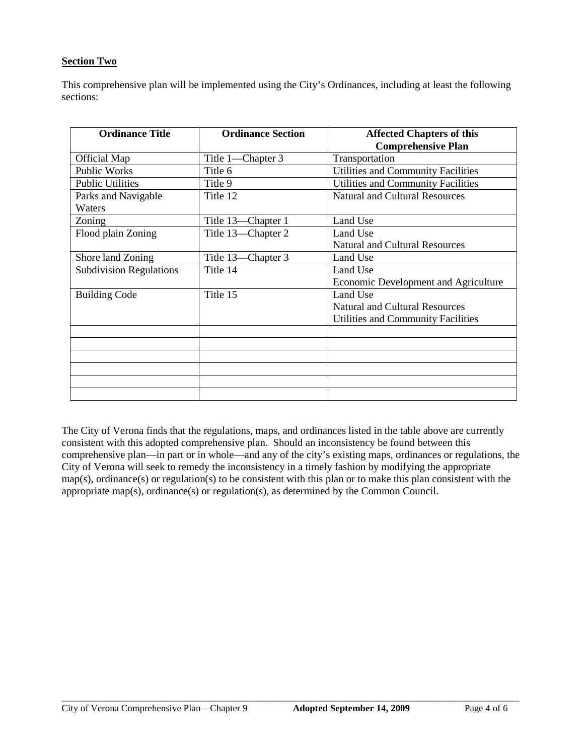### **Section Two**

This comprehensive plan will be implemented using the City's Ordinances, including at least the following sections:

| <b>Ordinance Title</b>         | <b>Ordinance Section</b> | <b>Affected Chapters of this</b>      |
|--------------------------------|--------------------------|---------------------------------------|
|                                |                          | <b>Comprehensive Plan</b>             |
| Official Map                   | Title 1-Chapter 3        | Transportation                        |
| Public Works                   | Title 6                  | Utilities and Community Facilities    |
| <b>Public Utilities</b>        | Title 9                  | Utilities and Community Facilities    |
| Parks and Navigable            | Title 12                 | <b>Natural and Cultural Resources</b> |
| Waters                         |                          |                                       |
| Zoning                         | Title 13—Chapter 1       | Land Use                              |
| Flood plain Zoning             | Title 13—Chapter 2       | Land Use                              |
|                                |                          | <b>Natural and Cultural Resources</b> |
| Shore land Zoning              | Title 13-Chapter 3       | Land Use                              |
| <b>Subdivision Regulations</b> | Title 14                 | Land Use                              |
|                                |                          | Economic Development and Agriculture  |
| <b>Building Code</b>           | Title 15                 | Land Use                              |
|                                |                          | <b>Natural and Cultural Resources</b> |
|                                |                          | Utilities and Community Facilities    |
|                                |                          |                                       |
|                                |                          |                                       |
|                                |                          |                                       |
|                                |                          |                                       |
|                                |                          |                                       |
|                                |                          |                                       |

The City of Verona finds that the regulations, maps, and ordinances listed in the table above are currently consistent with this adopted comprehensive plan. Should an inconsistency be found between this comprehensive plan—in part or in whole—and any of the city's existing maps, ordinances or regulations, the City of Verona will seek to remedy the inconsistency in a timely fashion by modifying the appropriate map(s), ordinance(s) or regulation(s) to be consistent with this plan or to make this plan consistent with the appropriate map(s), ordinance(s) or regulation(s), as determined by the Common Council.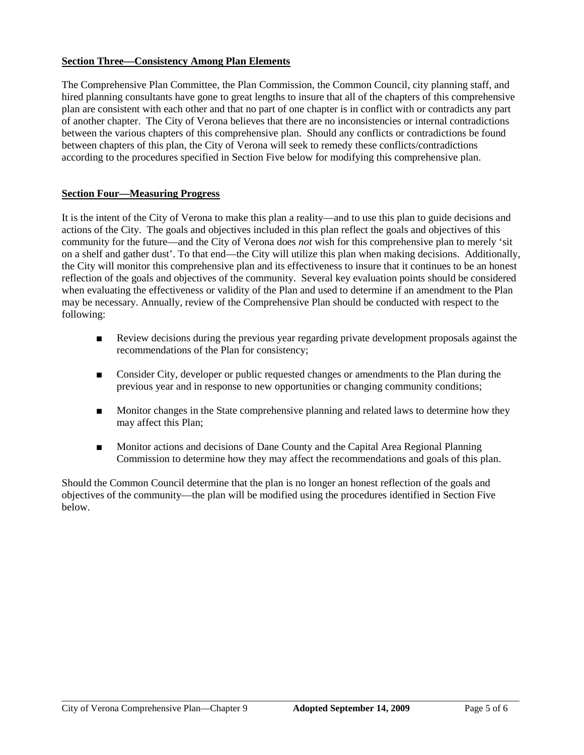### **Section Three—Consistency Among Plan Elements**

The Comprehensive Plan Committee, the Plan Commission, the Common Council, city planning staff, and hired planning consultants have gone to great lengths to insure that all of the chapters of this comprehensive plan are consistent with each other and that no part of one chapter is in conflict with or contradicts any part of another chapter. The City of Verona believes that there are no inconsistencies or internal contradictions between the various chapters of this comprehensive plan. Should any conflicts or contradictions be found between chapters of this plan, the City of Verona will seek to remedy these conflicts/contradictions according to the procedures specified in Section Five below for modifying this comprehensive plan.

### **Section Four—Measuring Progress**

It is the intent of the City of Verona to make this plan a reality—and to use this plan to guide decisions and actions of the City. The goals and objectives included in this plan reflect the goals and objectives of this community for the future—and the City of Verona does *not* wish for this comprehensive plan to merely 'sit on a shelf and gather dust'. To that end—the City will utilize this plan when making decisions. Additionally, the City will monitor this comprehensive plan and its effectiveness to insure that it continues to be an honest reflection of the goals and objectives of the community. Several key evaluation points should be considered when evaluating the effectiveness or validity of the Plan and used to determine if an amendment to the Plan may be necessary. Annually, review of the Comprehensive Plan should be conducted with respect to the following:

- Review decisions during the previous year regarding private development proposals against the recommendations of the Plan for consistency;
- Consider City, developer or public requested changes or amendments to the Plan during the previous year and in response to new opportunities or changing community conditions;
- Monitor changes in the State comprehensive planning and related laws to determine how they may affect this Plan;
- Monitor actions and decisions of Dane County and the Capital Area Regional Planning Commission to determine how they may affect the recommendations and goals of this plan.

Should the Common Council determine that the plan is no longer an honest reflection of the goals and objectives of the community—the plan will be modified using the procedures identified in Section Five below.